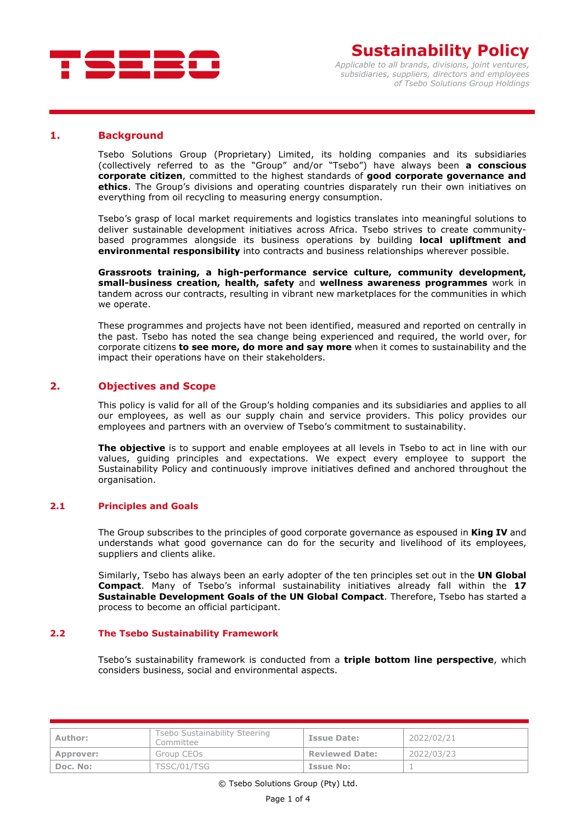

#### **1. Background**

Tsebo Solutions Group (Proprietary) Limited, its holding companies and its subsidiaries (collectively referred to as the "Group" and/or "Tsebo") have always been **a conscious corporate citizen**, committed to the highest standards of **good corporate governance and ethics**. The Group's divisions and operating countries disparately run their own initiatives on everything from oil recycling to measuring energy consumption.

Tsebo's grasp of local market requirements and logistics translates into meaningful solutions to deliver sustainable development initiatives across Africa. Tsebo strives to create communitybased programmes alongside its business operations by building **local upliftment and environmental responsibility** into contracts and business relationships wherever possible.

**Grassroots training, a high-performance service culture, community development, small-business creation, health, safety** and **wellness awareness programmes** work in tandem across our contracts, resulting in vibrant new marketplaces for the communities in which we operate.

These programmes and projects have not been identified, measured and reported on centrally in the past. Tsebo has noted the sea change being experienced and required, the world over, for corporate citizens **to see more, do more and say more** when it comes to sustainability and the impact their operations have on their stakeholders.

## **2. Objectives and Scope**

This policy is valid for all of the Group's holding companies and its subsidiaries and applies to all our employees, as well as our supply chain and service providers. This policy provides our employees and partners with an overview of Tsebo's commitment to sustainability.

**The objective** is to support and enable employees at all levels in Tsebo to act in line with our values, guiding principles and expectations. We expect every employee to support the Sustainability Policy and continuously improve initiatives defined and anchored throughout the organisation.

#### **2.1 Principles and Goals**

The Group subscribes to the principles of good corporate governance as espoused in **King IV** and understands what good governance can do for the security and livelihood of its employees, suppliers and clients alike.

Similarly, Tsebo has always been an early adopter of the ten principles set out in the **UN Global Compact**. Many of Tsebo's informal sustainability initiatives already fall within the **17 Sustainable Development Goals of the UN Global Compact**. Therefore, Tsebo has started a process to become an official participant.

#### **2.2 The Tsebo Sustainability Framework**

Tsebo's sustainability framework is conducted from a **triple bottom line perspective**, which considers business, social and environmental aspects.

| Author:   | Tsebo Sustainability Steering<br>Committee | <b>Issue Date:</b>    | 2022/02/21 |
|-----------|--------------------------------------------|-----------------------|------------|
| Approver: | Group CEOs                                 | <b>Reviewed Date:</b> | 2022/03/23 |
| Doc. No:  | TSSC/01/TSG                                | <b>Issue No:</b>      |            |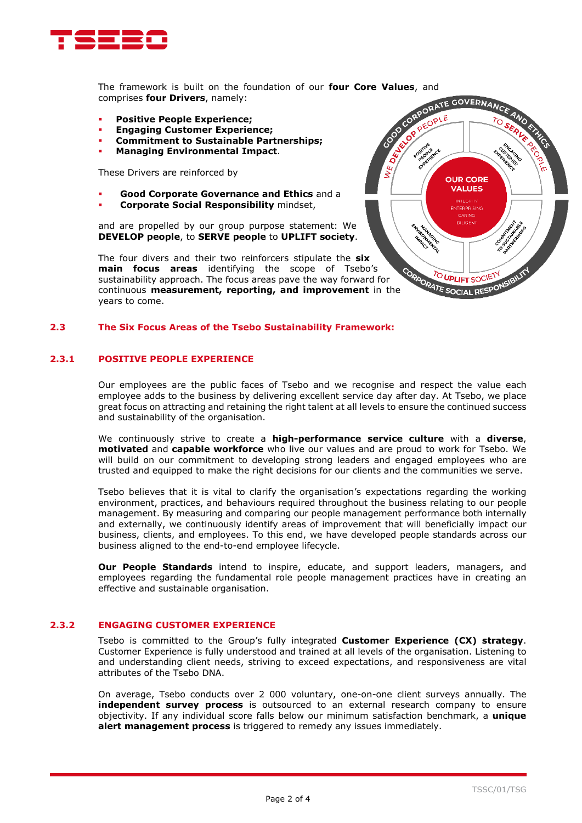

comprises **four Drivers**, namely:

- **Positive People Experience;**
- **Engaging Customer Experience;**
- **Commitment to Sustainable Partnerships;**
- **Managing Environmental Impact**.

These Drivers are reinforced by

- **Good Corporate Governance and Ethics** and a
- **Corporate Social Responsibility** mindset,

and are propelled by our group purpose statement: We **DEVELOP people**, to **SERVE people** to **UPLIFT society**.

The four divers and their two reinforcers stipulate the **six main focus areas** identifying the scope of Tsebo's sustainability approach. The focus areas pave the way forward for continuous **measurement, reporting, and improvement** in the years to come.

#### **2.3 The Six Focus Areas of the Tsebo Sustainability Framework:**

#### **2.3.1 POSITIVE PEOPLE EXPERIENCE**

Our employees are the public faces of Tsebo and we recognise and respect the value each employee adds to the business by delivering excellent service day after day. At Tsebo, we place great focus on attracting and retaining the right talent at all levels to ensure the continued success and sustainability of the organisation.

We continuously strive to create a **high-performance service culture** with a **diverse**, **motivated** and **capable workforce** who live our values and are proud to work for Tsebo. We will build on our commitment to developing strong leaders and engaged employees who are trusted and equipped to make the right decisions for our clients and the communities we serve.

Tsebo believes that it is vital to clarify the organisation's expectations regarding the working environment, practices, and behaviours required throughout the business relating to our people management. By measuring and comparing our people management performance both internally and externally, we continuously identify areas of improvement that will beneficially impact our business, clients, and employees. To this end, we have developed people standards across our business aligned to the end-to-end employee lifecycle.

**Our People Standards** intend to inspire, educate, and support leaders, managers, and employees regarding the fundamental role people management practices have in creating an effective and sustainable organisation.

## **2.3.2 ENGAGING CUSTOMER EXPERIENCE**

Tsebo is committed to the Group's fully integrated **Customer Experience (CX) strategy**. Customer Experience is fully understood and trained at all levels of the organisation. Listening to and understanding client needs, striving to exceed expectations, and responsiveness are vital attributes of the Tsebo DNA.

On average, Tsebo conducts over 2 000 voluntary, one-on-one client surveys annually. The **independent survey process** is outsourced to an external research company to ensure objectivity. If any individual score falls below our minimum satisfaction benchmark, a **unique alert management process** is triggered to remedy any issues immediately.

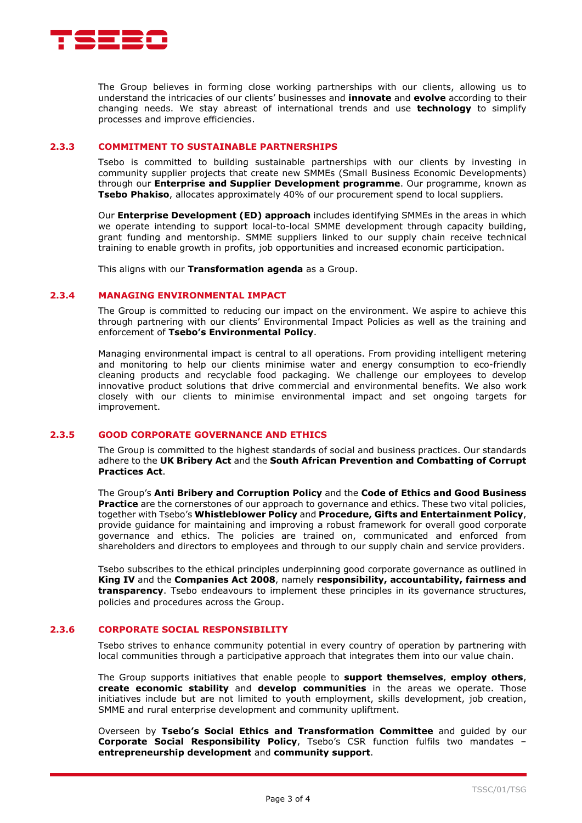

The Group believes in forming close working partnerships with our clients, allowing us to understand the intricacies of our clients' businesses and **innovate** and **evolve** according to their changing needs. We stay abreast of international trends and use **technology** to simplify processes and improve efficiencies.

### **2.3.3 COMMITMENT TO SUSTAINABLE PARTNERSHIPS**

Tsebo is committed to building sustainable partnerships with our clients by investing in community supplier projects that create new SMMEs (Small Business Economic Developments) through our **Enterprise and Supplier Development programme**. Our programme, known as **Tsebo Phakiso**, allocates approximately 40% of our procurement spend to local suppliers.

Our **Enterprise Development (ED) approach** includes identifying SMMEs in the areas in which we operate intending to support local-to-local SMME development through capacity building, grant funding and mentorship. SMME suppliers linked to our supply chain receive technical training to enable growth in profits, job opportunities and increased economic participation.

This aligns with our **Transformation agenda** as a Group.

## **2.3.4 MANAGING ENVIRONMENTAL IMPACT**

The Group is committed to reducing our impact on the environment. We aspire to achieve this through partnering with our clients' Environmental Impact Policies as well as the training and enforcement of **Tsebo's Environmental Policy**.

Managing environmental impact is central to all operations. From providing intelligent metering and monitoring to help our clients minimise water and energy consumption to eco-friendly cleaning products and recyclable food packaging. We challenge our employees to develop innovative product solutions that drive commercial and environmental benefits. We also work closely with our clients to minimise environmental impact and set ongoing targets for improvement.

## **2.3.5 GOOD CORPORATE GOVERNANCE AND ETHICS**

The Group is committed to the highest standards of social and business practices. Our standards adhere to the **UK Bribery Act** and the **South African Prevention and Combatting of Corrupt Practices Act**.

The Group's **Anti Bribery and Corruption Policy** and the **Code of Ethics and Good Business Practice** are the cornerstones of our approach to governance and ethics. These two vital policies, together with Tsebo's **Whistleblower Policy** and **Procedure, Gifts and Entertainment Policy**, provide guidance for maintaining and improving a robust framework for overall good corporate governance and ethics. The policies are trained on, communicated and enforced from shareholders and directors to employees and through to our supply chain and service providers.

Tsebo subscribes to the ethical principles underpinning good corporate governance as outlined in **King IV** and the **Companies Act 2008**, namely **responsibility, accountability, fairness and transparency**. Tsebo endeavours to implement these principles in its governance structures, policies and procedures across the Group.

# **2.3.6 CORPORATE SOCIAL RESPONSIBILITY**

Tsebo strives to enhance community potential in every country of operation by partnering with local communities through a participative approach that integrates them into our value chain.

The Group supports initiatives that enable people to **support themselves**, **employ others**, **create economic stability** and **develop communities** in the areas we operate. Those initiatives include but are not limited to youth employment, skills development, job creation, SMME and rural enterprise development and community upliftment.

Overseen by **Tsebo's Social Ethics and Transformation Committee** and guided by our **Corporate Social Responsibility Policy**, Tsebo's CSR function fulfils two mandates – **entrepreneurship development** and **community support**.